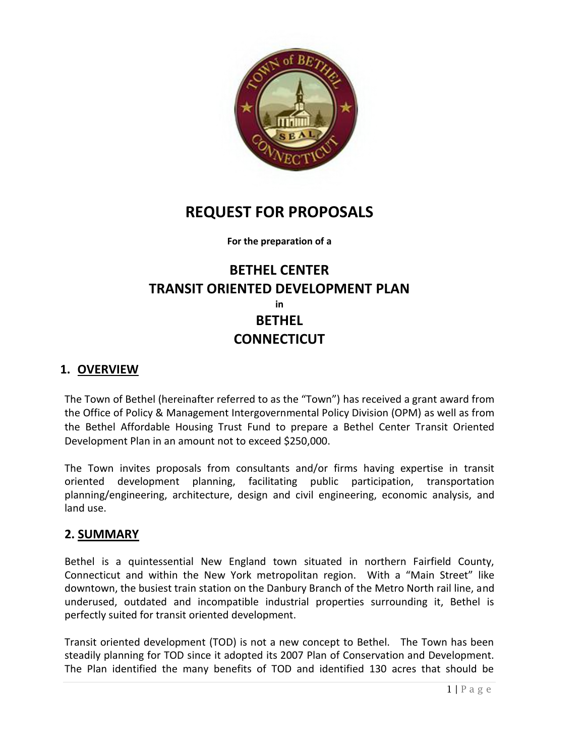

# **REQUEST FOR PROPOSALS**

**For the preparation of a**

# **BETHEL CENTER TRANSIT ORIENTED DEVELOPMENT PLAN in BETHEL CONNECTICUT**

# **1. OVERVIEW**

The Town of Bethel (hereinafter referred to as the "Town") has received a grant award from the Office of Policy & Management Intergovernmental Policy Division (OPM) as well as from the Bethel Affordable Housing Trust Fund to prepare a Bethel Center Transit Oriented Development Plan in an amount not to exceed \$250,000.

The Town invites proposals from consultants and/or firms having expertise in transit oriented development planning, facilitating public participation, transportation planning/engineering, architecture, design and civil engineering, economic analysis, and land use.

# **2. SUMMARY**

Bethel is a quintessential New England town situated in northern Fairfield County, Connecticut and within the New York metropolitan region. With a "Main Street" like downtown, the busiest train station on the Danbury Branch of the Metro North rail line, and underused, outdated and incompatible industrial properties surrounding it, Bethel is perfectly suited for transit oriented development.

Transit oriented development (TOD) is not a new concept to Bethel. The Town has been steadily planning for TOD since it adopted its 2007 Plan of Conservation and Development. The Plan identified the many benefits of TOD and identified 130 acres that should be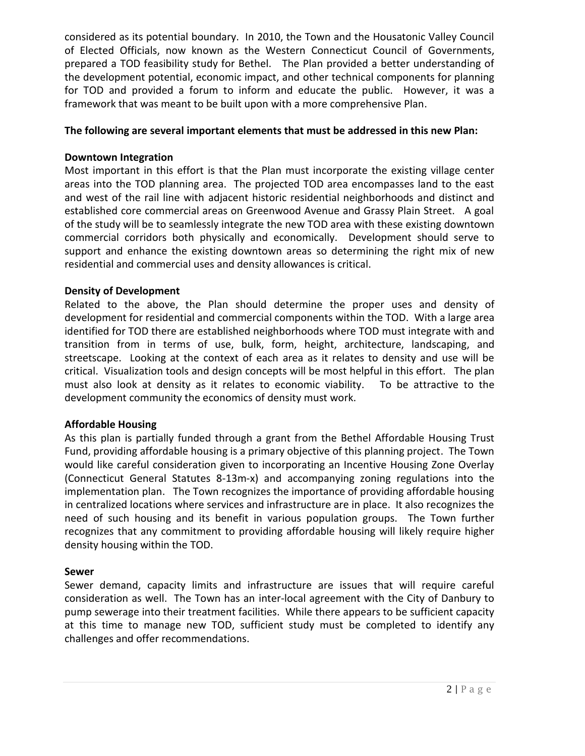considered as its potential boundary. In 2010, the Town and the Housatonic Valley Council of Elected Officials, now known as the Western Connecticut Council of Governments, prepared a TOD feasibility study for Bethel. The Plan provided a better understanding of the development potential, economic impact, and other technical components for planning for TOD and provided a forum to inform and educate the public. However, it was a framework that was meant to be built upon with a more comprehensive Plan.

## **The following are several important elements that must be addressed in this new Plan:**

## **Downtown Integration**

Most important in this effort is that the Plan must incorporate the existing village center areas into the TOD planning area. The projected TOD area encompasses land to the east and west of the rail line with adjacent historic residential neighborhoods and distinct and established core commercial areas on Greenwood Avenue and Grassy Plain Street. A goal of the study will be to seamlessly integrate the new TOD area with these existing downtown commercial corridors both physically and economically. Development should serve to support and enhance the existing downtown areas so determining the right mix of new residential and commercial uses and density allowances is critical.

## **Density of Development**

Related to the above, the Plan should determine the proper uses and density of development for residential and commercial components within the TOD. With a large area identified for TOD there are established neighborhoods where TOD must integrate with and transition from in terms of use, bulk, form, height, architecture, landscaping, and streetscape. Looking at the context of each area as it relates to density and use will be critical. Visualization tools and design concepts will be most helpful in this effort. The plan must also look at density as it relates to economic viability. To be attractive to the development community the economics of density must work.

# **Affordable Housing**

As this plan is partially funded through a grant from the Bethel Affordable Housing Trust Fund, providing affordable housing is a primary objective of this planning project. The Town would like careful consideration given to incorporating an Incentive Housing Zone Overlay (Connecticut General Statutes 8-13m-x) and accompanying zoning regulations into the implementation plan. The Town recognizes the importance of providing affordable housing in centralized locations where services and infrastructure are in place. It also recognizes the need of such housing and its benefit in various population groups. The Town further recognizes that any commitment to providing affordable housing will likely require higher density housing within the TOD.

### **Sewer**

Sewer demand, capacity limits and infrastructure are issues that will require careful consideration as well. The Town has an inter-local agreement with the City of Danbury to pump sewerage into their treatment facilities. While there appears to be sufficient capacity at this time to manage new TOD, sufficient study must be completed to identify any challenges and offer recommendations.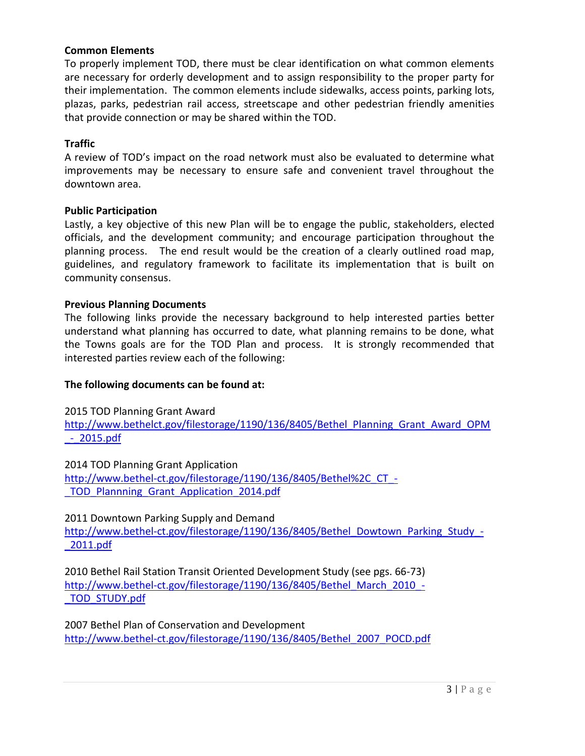#### **Common Elements**

To properly implement TOD, there must be clear identification on what common elements are necessary for orderly development and to assign responsibility to the proper party for their implementation. The common elements include sidewalks, access points, parking lots, plazas, parks, pedestrian rail access, streetscape and other pedestrian friendly amenities that provide connection or may be shared within the TOD.

#### **Traffic**

A review of TOD's impact on the road network must also be evaluated to determine what improvements may be necessary to ensure safe and convenient travel throughout the downtown area.

#### **Public Participation**

Lastly, a key objective of this new Plan will be to engage the public, stakeholders, elected officials, and the development community; and encourage participation throughout the planning process. The end result would be the creation of a clearly outlined road map, guidelines, and regulatory framework to facilitate its implementation that is built on community consensus.

### **Previous Planning Documents**

The following links provide the necessary background to help interested parties better understand what planning has occurred to date, what planning remains to be done, what the Towns goals are for the TOD Plan and process. It is strongly recommended that interested parties review each of the following:

### **The following documents can be found at:**

2015 TOD Planning Grant Award

[http://www.bethelct.gov/filestorage/1190/136/8405/Bethel\\_Planning\\_Grant\\_Award\\_OPM](http://www.bethelct.gov/filestorage/1190/136/8405/Bethel_Planning_Grant_Award_OPM_-_2015.pdf)  $-2015.pdf$ 

2014 TOD Planning Grant Application

[http://www.bethel-ct.gov/filestorage/1190/136/8405/Bethel%2C\\_CT\\_-](http://www.bethel-ct.gov/filestorage/1190/136/8405/Bethel%2C_CT_-_TOD_Plannning_Grant_Application_2014.pdf) TOD Plannning Grant Application 2014.pdf

2011 Downtown Parking Supply and Demand

[http://www.bethel-ct.gov/filestorage/1190/136/8405/Bethel\\_Dowtown\\_Parking\\_Study\\_-](http://www.bethel-ct.gov/filestorage/1190/136/8405/Bethel_Dowtown_Parking_Study_-_2011.pdf) [\\_2011.pdf](http://www.bethel-ct.gov/filestorage/1190/136/8405/Bethel_Dowtown_Parking_Study_-_2011.pdf)

2010 Bethel Rail Station Transit Oriented Development Study (see pgs. 66-73) [http://www.bethel-ct.gov/filestorage/1190/136/8405/Bethel\\_March\\_2010\\_-](http://www.bethel-ct.gov/filestorage/1190/136/8405/Bethel_March_2010_-_TOD_STUDY.pdf) [\\_TOD\\_STUDY.pdf](http://www.bethel-ct.gov/filestorage/1190/136/8405/Bethel_March_2010_-_TOD_STUDY.pdf)

2007 Bethel Plan of Conservation and Development [http://www.bethel-ct.gov/filestorage/1190/136/8405/Bethel\\_2007\\_POCD.pdf](http://www.bethel-ct.gov/filestorage/1190/136/8405/Bethel_2007_POCD.pdf)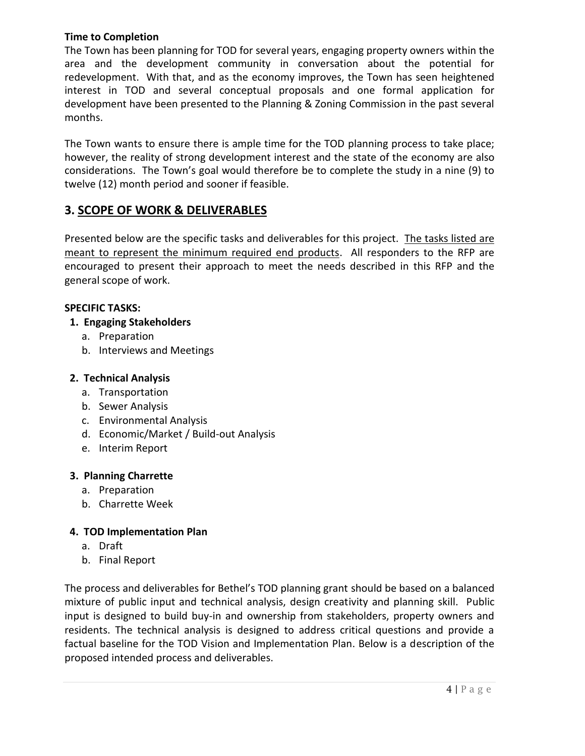## **Time to Completion**

The Town has been planning for TOD for several years, engaging property owners within the area and the development community in conversation about the potential for redevelopment. With that, and as the economy improves, the Town has seen heightened interest in TOD and several conceptual proposals and one formal application for development have been presented to the Planning & Zoning Commission in the past several months.

The Town wants to ensure there is ample time for the TOD planning process to take place; however, the reality of strong development interest and the state of the economy are also considerations. The Town's goal would therefore be to complete the study in a nine (9) to twelve (12) month period and sooner if feasible.

# **3. SCOPE OF WORK & DELIVERABLES**

Presented below are the specific tasks and deliverables for this project. The tasks listed are meant to represent the minimum required end products. All responders to the RFP are encouraged to present their approach to meet the needs described in this RFP and the general scope of work.

# **SPECIFIC TASKS:**

# **1. Engaging Stakeholders**

- a. Preparation
- b. Interviews and Meetings

# **2. Technical Analysis**

- a. Transportation
- b. Sewer Analysis
- c. Environmental Analysis
- d. Economic/Market / Build-out Analysis
- e. Interim Report

# **3. Planning Charrette**

- a. Preparation
- b. Charrette Week

# **4. TOD Implementation Plan**

- a. Draft
- b. Final Report

The process and deliverables for Bethel's TOD planning grant should be based on a balanced mixture of public input and technical analysis, design creativity and planning skill. Public input is designed to build buy-in and ownership from stakeholders, property owners and residents. The technical analysis is designed to address critical questions and provide a factual baseline for the TOD Vision and Implementation Plan. Below is a description of the proposed intended process and deliverables.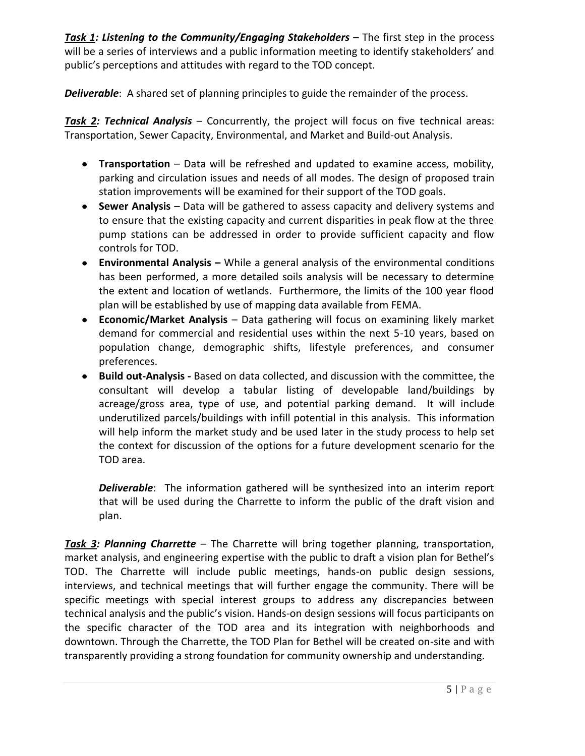*Task 1: Listening to the Community/Engaging Stakeholders* – The first step in the process will be a series of interviews and a public information meeting to identify stakeholders' and public's perceptions and attitudes with regard to the TOD concept.

*Deliverable*: A shared set of planning principles to guide the remainder of the process.

*Task 2: Technical Analysis* – Concurrently, the project will focus on five technical areas: Transportation, Sewer Capacity, Environmental, and Market and Build-out Analysis.

- $\bullet$ **Transportation** – Data will be refreshed and updated to examine access, mobility, parking and circulation issues and needs of all modes. The design of proposed train station improvements will be examined for their support of the TOD goals.
- **Sewer Analysis** Data will be gathered to assess capacity and delivery systems and to ensure that the existing capacity and current disparities in peak flow at the three pump stations can be addressed in order to provide sufficient capacity and flow controls for TOD.
- **Environmental Analysis –** While a general analysis of the environmental conditions  $\bullet$ has been performed, a more detailed soils analysis will be necessary to determine the extent and location of wetlands. Furthermore, the limits of the 100 year flood plan will be established by use of mapping data available from FEMA.
- **Economic/Market Analysis** Data gathering will focus on examining likely market  $\bullet$ demand for commercial and residential uses within the next 5-10 years, based on population change, demographic shifts, lifestyle preferences, and consumer preferences.
- $\bullet$ **Build out-Analysis -** Based on data collected, and discussion with the committee, the consultant will develop a tabular listing of developable land/buildings by acreage/gross area, type of use, and potential parking demand. It will include underutilized parcels/buildings with infill potential in this analysis. This information will help inform the market study and be used later in the study process to help set the context for discussion of the options for a future development scenario for the TOD area.

*Deliverable*: The information gathered will be synthesized into an interim report that will be used during the Charrette to inform the public of the draft vision and plan.

*Task 3: Planning Charrette* – The Charrette will bring together planning, transportation, market analysis, and engineering expertise with the public to draft a vision plan for Bethel's TOD. The Charrette will include public meetings, hands-on public design sessions, interviews, and technical meetings that will further engage the community. There will be specific meetings with special interest groups to address any discrepancies between technical analysis and the public's vision. Hands-on design sessions will focus participants on the specific character of the TOD area and its integration with neighborhoods and downtown. Through the Charrette, the TOD Plan for Bethel will be created on-site and with transparently providing a strong foundation for community ownership and understanding.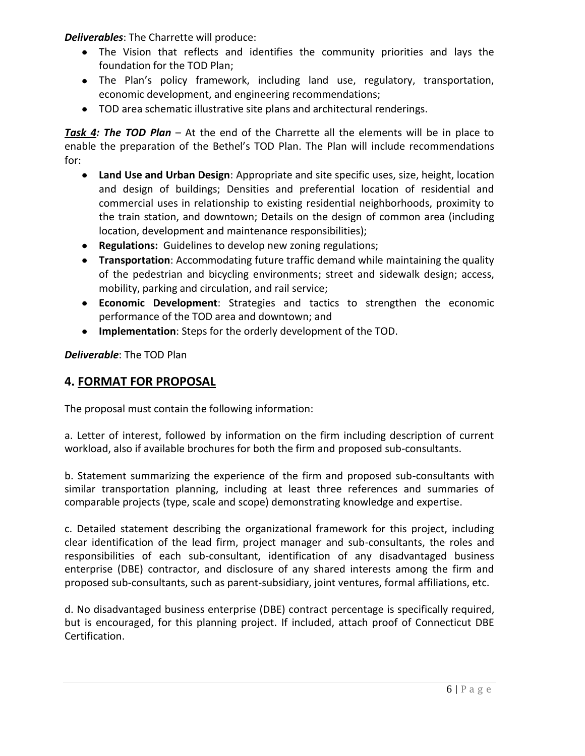*Deliverables*: The Charrette will produce:

- The Vision that reflects and identifies the community priorities and lays the foundation for the TOD Plan;
- The Plan's policy framework, including land use, regulatory, transportation, economic development, and engineering recommendations;
- TOD area schematic illustrative site plans and architectural renderings.

*Task 4: The TOD Plan* – At the end of the Charrette all the elements will be in place to enable the preparation of the Bethel's TOD Plan. The Plan will include recommendations for:

- **Land Use and Urban Design**: Appropriate and site specific uses, size, height, location  $\bullet$ and design of buildings; Densities and preferential location of residential and commercial uses in relationship to existing residential neighborhoods, proximity to the train station, and downtown; Details on the design of common area (including location, development and maintenance responsibilities);
- **Regulations:** Guidelines to develop new zoning regulations;
- **Transportation**: Accommodating future traffic demand while maintaining the quality of the pedestrian and bicycling environments; street and sidewalk design; access, mobility, parking and circulation, and rail service;
- **Economic Development**: Strategies and tactics to strengthen the economic performance of the TOD area and downtown; and
- **Implementation**: Steps for the orderly development of the TOD.

*Deliverable*: The TOD Plan

# **4. FORMAT FOR PROPOSAL**

The proposal must contain the following information:

a. Letter of interest, followed by information on the firm including description of current workload, also if available brochures for both the firm and proposed sub-consultants.

b. Statement summarizing the experience of the firm and proposed sub-consultants with similar transportation planning, including at least three references and summaries of comparable projects (type, scale and scope) demonstrating knowledge and expertise.

c. Detailed statement describing the organizational framework for this project, including clear identification of the lead firm, project manager and sub-consultants, the roles and responsibilities of each sub-consultant, identification of any disadvantaged business enterprise (DBE) contractor, and disclosure of any shared interests among the firm and proposed sub-consultants, such as parent-subsidiary, joint ventures, formal affiliations, etc.

d. No disadvantaged business enterprise (DBE) contract percentage is specifically required, but is encouraged, for this planning project. If included, attach proof of Connecticut DBE Certification.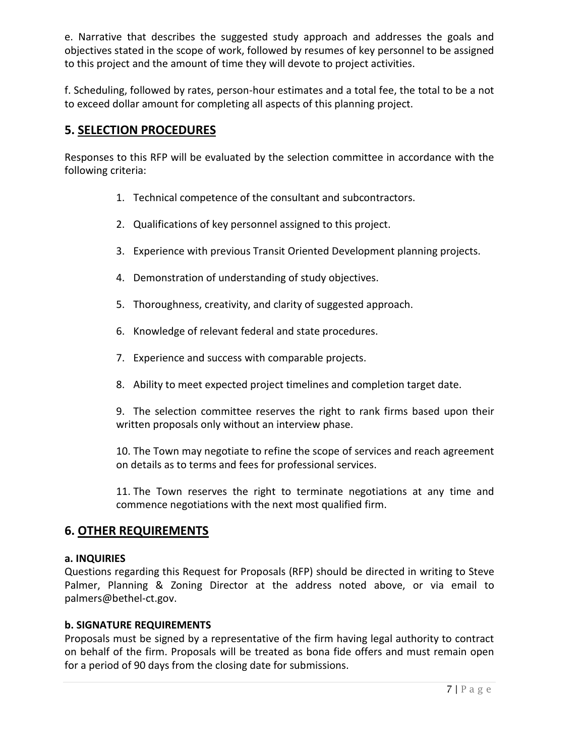e. Narrative that describes the suggested study approach and addresses the goals and objectives stated in the scope of work, followed by resumes of key personnel to be assigned to this project and the amount of time they will devote to project activities.

f. Scheduling, followed by rates, person-hour estimates and a total fee, the total to be a not to exceed dollar amount for completing all aspects of this planning project.

# **5. SELECTION PROCEDURES**

Responses to this RFP will be evaluated by the selection committee in accordance with the following criteria:

- 1. Technical competence of the consultant and subcontractors.
- 2. Qualifications of key personnel assigned to this project.
- 3. Experience with previous Transit Oriented Development planning projects.
- 4. Demonstration of understanding of study objectives.
- 5. Thoroughness, creativity, and clarity of suggested approach.
- 6. Knowledge of relevant federal and state procedures.
- 7. Experience and success with comparable projects.
- 8. Ability to meet expected project timelines and completion target date.

9. The selection committee reserves the right to rank firms based upon their written proposals only without an interview phase.

10. The Town may negotiate to refine the scope of services and reach agreement on details as to terms and fees for professional services.

11. The Town reserves the right to terminate negotiations at any time and commence negotiations with the next most qualified firm.

# **6. OTHER REQUIREMENTS**

# **a. INQUIRIES**

Questions regarding this Request for Proposals (RFP) should be directed in writing to Steve Palmer, Planning & Zoning Director at the address noted above, or via email to palmers@bethel-ct.gov.

# **b. SIGNATURE REQUIREMENTS**

Proposals must be signed by a representative of the firm having legal authority to contract on behalf of the firm. Proposals will be treated as bona fide offers and must remain open for a period of 90 days from the closing date for submissions.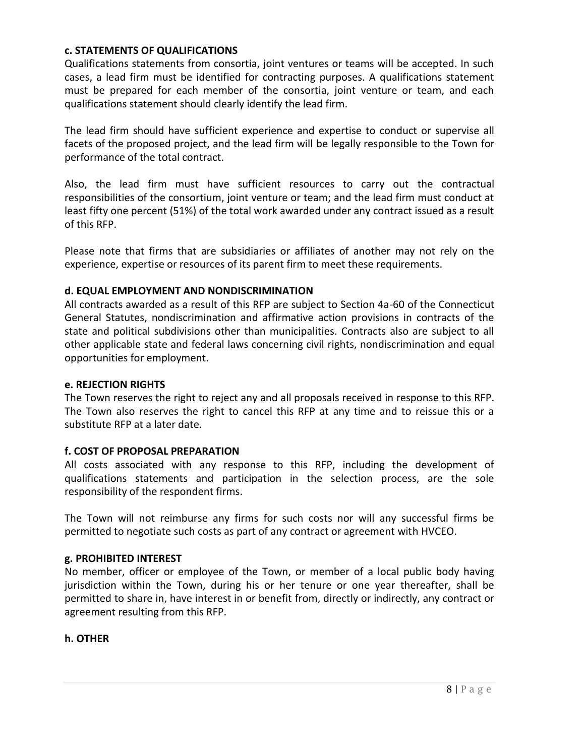### **c. STATEMENTS OF QUALIFICATIONS**

Qualifications statements from consortia, joint ventures or teams will be accepted. In such cases, a lead firm must be identified for contracting purposes. A qualifications statement must be prepared for each member of the consortia, joint venture or team, and each qualifications statement should clearly identify the lead firm.

The lead firm should have sufficient experience and expertise to conduct or supervise all facets of the proposed project, and the lead firm will be legally responsible to the Town for performance of the total contract.

Also, the lead firm must have sufficient resources to carry out the contractual responsibilities of the consortium, joint venture or team; and the lead firm must conduct at least fifty one percent (51%) of the total work awarded under any contract issued as a result of this RFP.

Please note that firms that are subsidiaries or affiliates of another may not rely on the experience, expertise or resources of its parent firm to meet these requirements.

## **d. EQUAL EMPLOYMENT AND NONDISCRIMINATION**

All contracts awarded as a result of this RFP are subject to Section 4a-60 of the Connecticut General Statutes, nondiscrimination and affirmative action provisions in contracts of the state and political subdivisions other than municipalities. Contracts also are subject to all other applicable state and federal laws concerning civil rights, nondiscrimination and equal opportunities for employment.

### **e. REJECTION RIGHTS**

The Town reserves the right to reject any and all proposals received in response to this RFP. The Town also reserves the right to cancel this RFP at any time and to reissue this or a substitute RFP at a later date.

### **f. COST OF PROPOSAL PREPARATION**

All costs associated with any response to this RFP, including the development of qualifications statements and participation in the selection process, are the sole responsibility of the respondent firms.

The Town will not reimburse any firms for such costs nor will any successful firms be permitted to negotiate such costs as part of any contract or agreement with HVCEO.

### **g. PROHIBITED INTEREST**

No member, officer or employee of the Town, or member of a local public body having jurisdiction within the Town, during his or her tenure or one year thereafter, shall be permitted to share in, have interest in or benefit from, directly or indirectly, any contract or agreement resulting from this RFP.

### **h. OTHER**